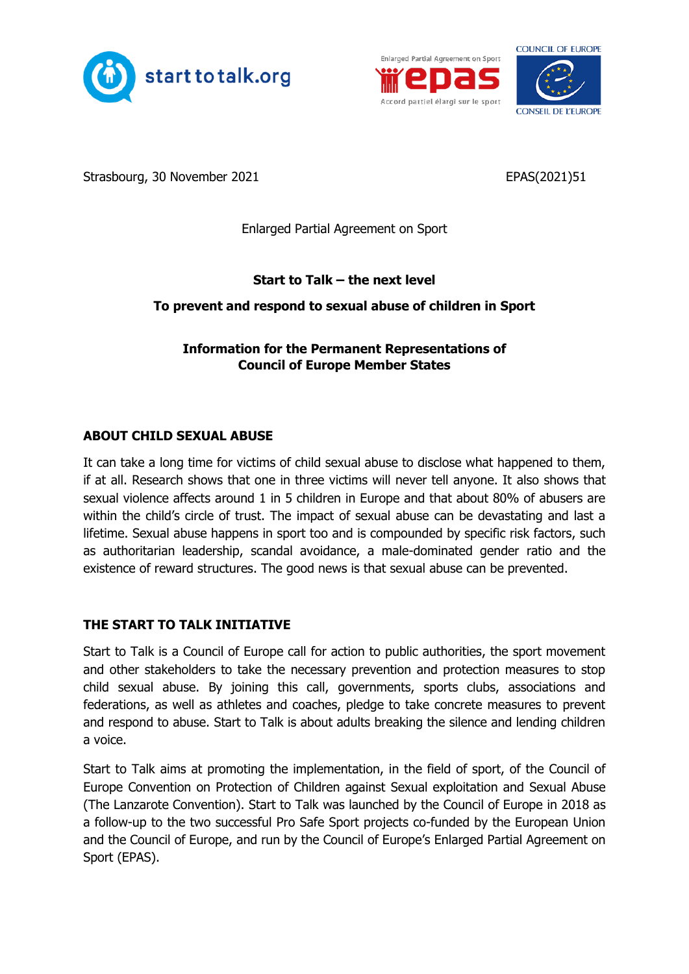





Strasbourg, 30 November 2021 **EPAS**(2021)51

Enlarged Partial Agreement on Sport

# **Start to Talk – the next level**

## **To prevent and respond to sexual abuse of children in Sport**

## **Information for the Permanent Representations of Council of Europe Member States**

## **ABOUT CHILD SEXUAL ABUSE**

It can take a long time for victims of child sexual abuse to disclose what happened to them, if at all. Research shows that one in three victims will never tell anyone. It also shows that sexual violence affects around 1 in 5 children in Europe and that about 80% of abusers are within the child's circle of trust. The impact of sexual abuse can be devastating and last a lifetime. Sexual abuse happens in sport too and is compounded by specific risk factors, such as authoritarian leadership, scandal avoidance, a male-dominated gender ratio and the existence of reward structures. The good news is that sexual abuse can be prevented.

## **THE START TO TALK INITIATIVE**

Start to Talk is a Council of Europe call for action to public authorities, the sport movement and other stakeholders to take the necessary prevention and protection measures to stop child sexual abuse. By joining this call, governments, sports clubs, associations and federations, as well as athletes and coaches, pledge to take concrete measures to prevent and respond to abuse. Start to Talk is about adults breaking the silence and lending children a voice.

Start to Talk aims at promoting the implementation, in the field of sport, of the Council of Europe Convention on Protection of Children against Sexual exploitation and Sexual Abuse (The Lanzarote Convention). Start to Talk was launched by the Council of Europe in 2018 as a follow-up to the two successful Pro Safe Sport projects co-funded by the European Union and the Council of Europe, and run by the Council of Europe's Enlarged Partial Agreement on Sport (EPAS).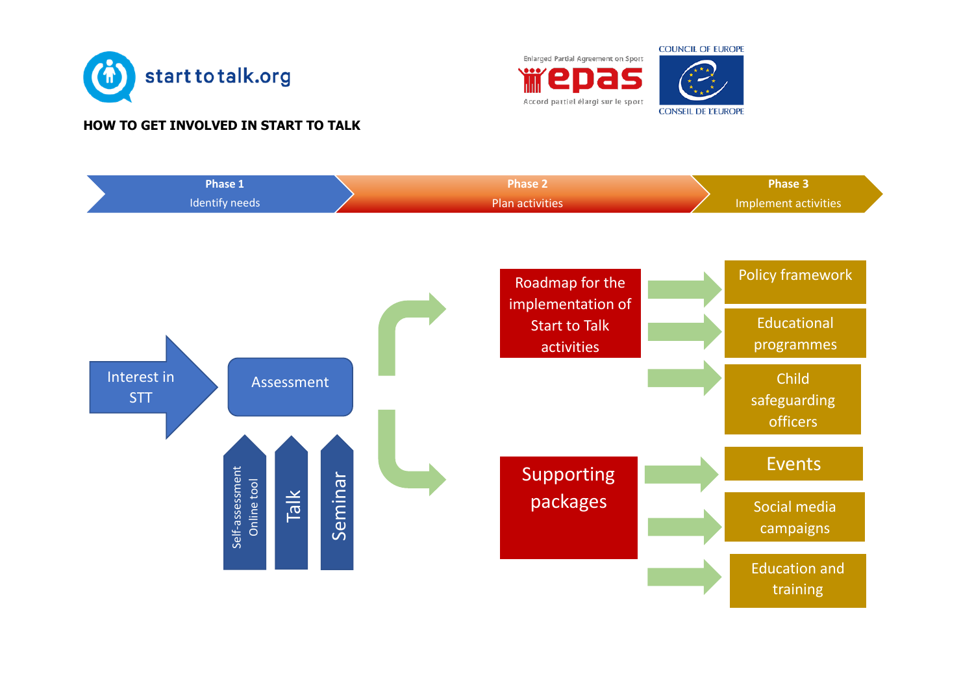

### **HOW TO GET INVOLVED IN START TO TALK**





training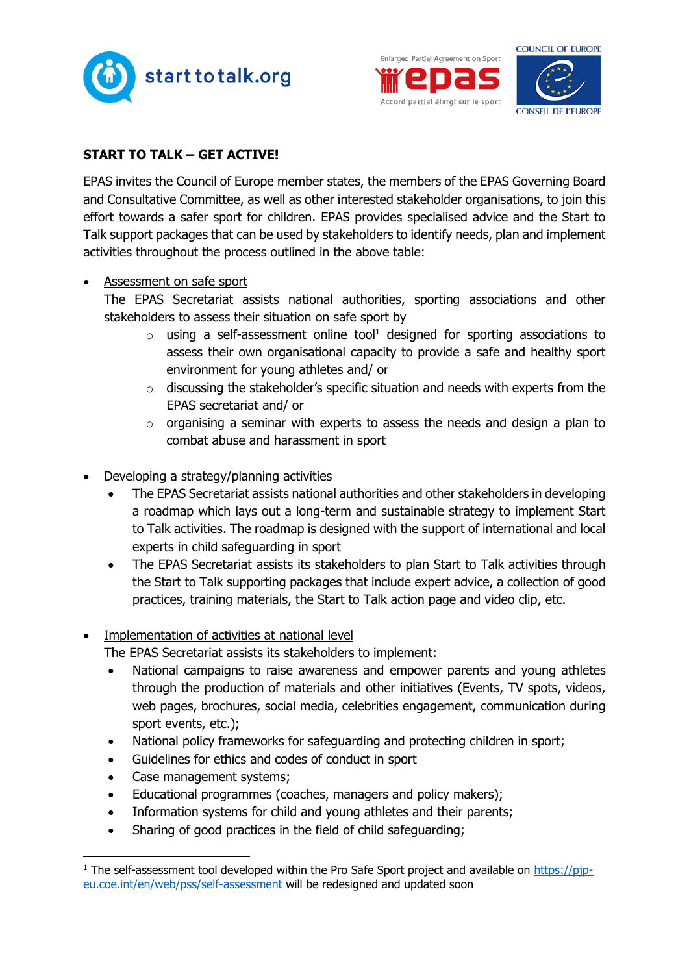





## **START TO TALK – GET ACTIVE!**

EPAS invites the Council of Europe member states, the members of the EPAS Governing Board and Consultative Committee, as well as other interested stakeholder organisations, to join this effort towards a safer sport for children. EPAS provides specialised advice and the Start to Talk support packages that can be used by stakeholders to identify needs, plan and implement activities throughout the process outlined in the above table:

• Assessment on safe sport

The EPAS Secretariat assists national authorities, sporting associations and other stakeholders to assess their situation on safe sport by

- $\circ$  using a self-assessment online tool<sup>1</sup> designed for sporting associations to assess their own organisational capacity to provide a safe and healthy sport environment for young athletes and/ or
- $\circ$  discussing the stakeholder's specific situation and needs with experts from the EPAS secretariat and/ or
- o organising a seminar with experts to assess the needs and design a plan to combat abuse and harassment in sport
- Developing a strategy/planning activities
	- The EPAS Secretariat assists national authorities and other stakeholders in developing a roadmap which lays out a long-term and sustainable strategy to implement Start to Talk activities. The roadmap is designed with the support of international and local experts in child safeguarding in sport
	- The EPAS Secretariat assists its stakeholders to plan Start to Talk activities through the Start to Talk supporting packages that include expert advice, a collection of good practices, training materials, the Start to Talk action page and video clip, etc.

#### Implementation of activities at national level

The EPAS Secretariat assists its stakeholders to implement:

- National campaigns to raise awareness and empower parents and young athletes through the production of materials and other initiatives (Events, TV spots, videos, web pages, brochures, social media, celebrities engagement, communication during sport events, etc.);
- National policy frameworks for safeguarding and protecting children in sport;
- Guidelines for ethics and codes of conduct in sport
- Case management systems;
- Educational programmes (coaches, managers and policy makers);
- Information systems for child and young athletes and their parents;
- Sharing of good practices in the field of child safeguarding;

 $1$  The self-assessment tool developed within the Pro Safe Sport project and available on [https://pjp](https://pjp-eu.coe.int/en/web/pss/self-assessment)[eu.coe.int/en/web/pss/self-assessment](https://pjp-eu.coe.int/en/web/pss/self-assessment) will be redesigned and updated soon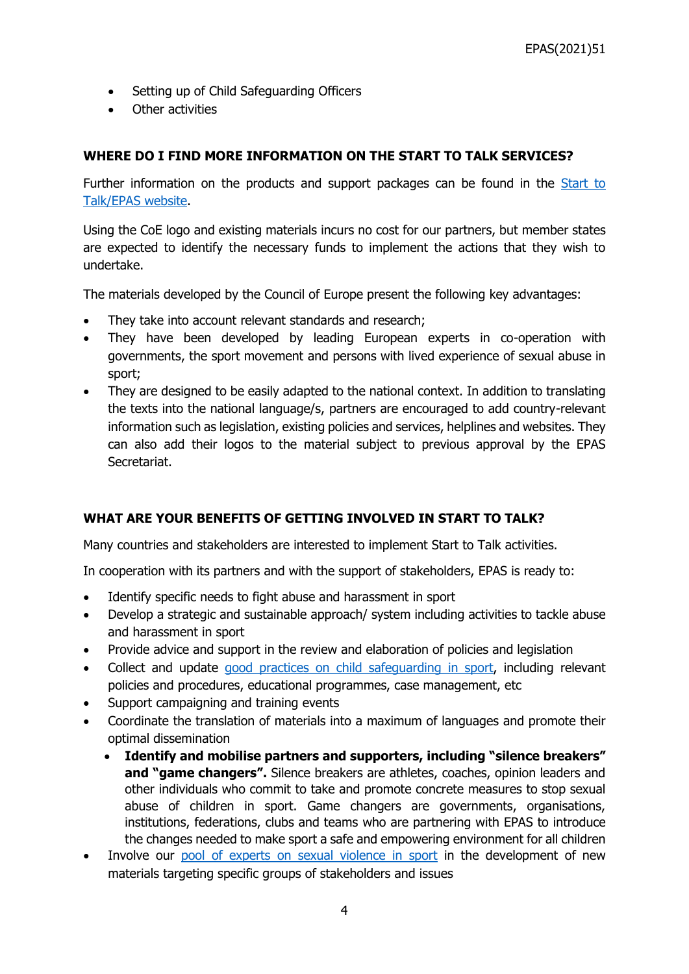- Setting up of Child Safeguarding Officers
- Other activities

### **WHERE DO I FIND MORE INFORMATION ON THE START TO TALK SERVICES?**

Further information on the products and support packages can be found in the Start to [Talk/EPAS website.](https://www.coe.int/en/web/sport/start-to-talk)

Using the CoE logo and existing materials incurs no cost for our partners, but member states are expected to identify the necessary funds to implement the actions that they wish to undertake.

The materials developed by the Council of Europe present the following key advantages:

- They take into account relevant standards and research;
- They have been developed by leading European experts in co-operation with governments, the sport movement and persons with lived experience of sexual abuse in sport;
- They are designed to be easily adapted to the national context. In addition to translating the texts into the national language/s, partners are encouraged to add country-relevant information such as legislation, existing policies and services, helplines and websites. They can also add their logos to the material subject to previous approval by the EPAS Secretariat.

## **WHAT ARE YOUR BENEFITS OF GETTING INVOLVED IN START TO TALK?**

Many countries and stakeholders are interested to implement Start to Talk activities.

In cooperation with its partners and with the support of stakeholders, EPAS is ready to:

- Identify specific needs to fight abuse and harassment in sport
- Develop a strategic and sustainable approach/ system including activities to tackle abuse and harassment in sport
- Provide advice and support in the review and elaboration of policies and legislation
- Collect and update [good practices on child safeguarding in sport,](https://pjp-eu.coe.int/en/web/pss/resource-centre) including relevant policies and procedures, educational programmes, case management, etc
- Support campaigning and training events
- Coordinate the translation of materials into a maximum of languages and promote their optimal dissemination
	- **Identify and mobilise partners and supporters, including "silence breakers" and "game changers".** Silence breakers are athletes, coaches, opinion leaders and other individuals who commit to take and promote concrete measures to stop sexual abuse of children in sport. Game changers are governments, organisations, institutions, federations, clubs and teams who are partnering with EPAS to introduce the changes needed to make sport a safe and empowering environment for all children
- Involve our [pool of experts on sexual violence in sport](https://pjp-eu.coe.int/en/web/pss/experts) in the development of new materials targeting specific groups of stakeholders and issues